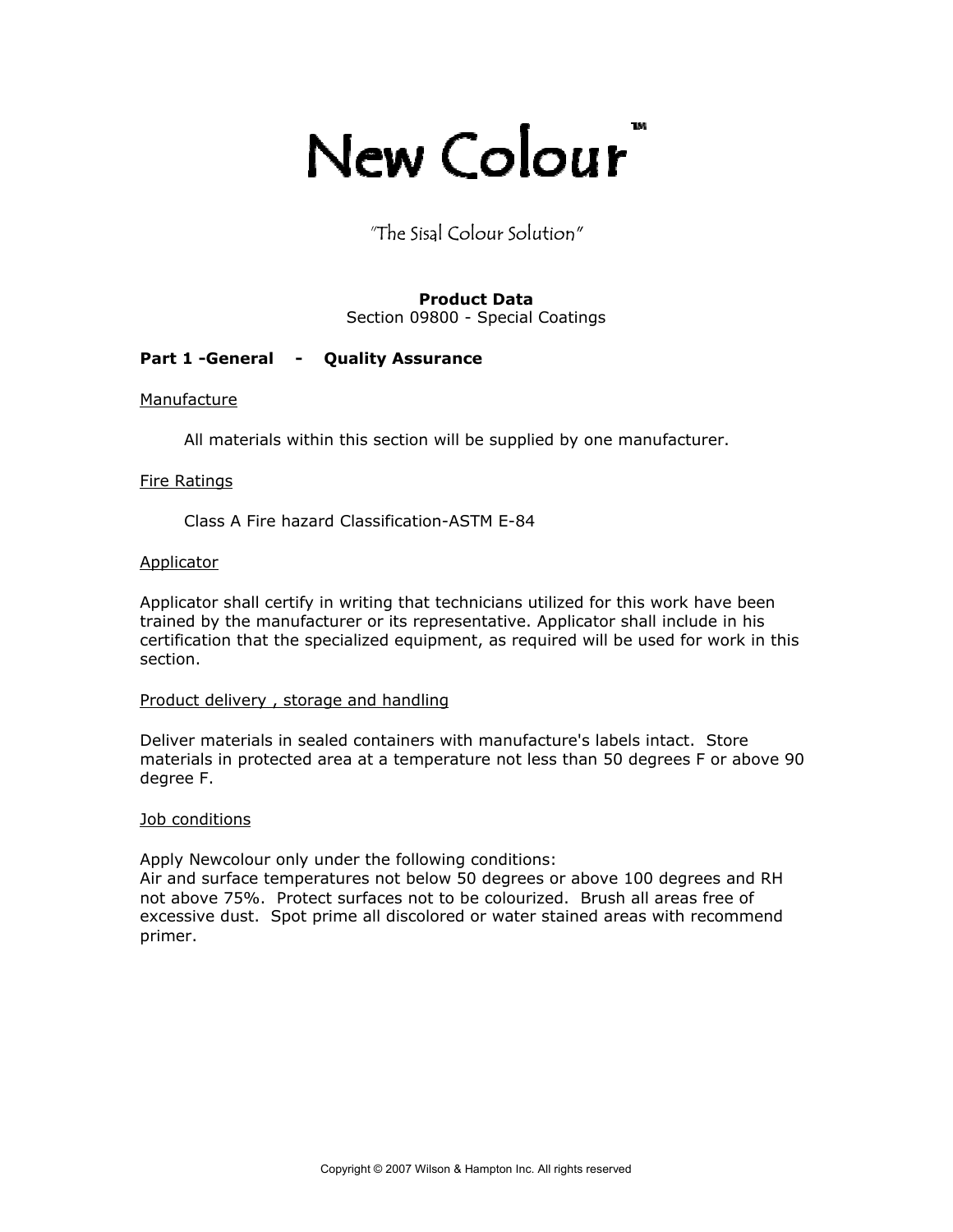# TM New Colour

"The Sisal Colour Solution"

# **Product Data**

Section 09800 - Special Coatings

# **Part 1 -General - Quality Assurance**

# Manufacture

All materials within this section will be supplied by one manufacturer.

# Fire Ratings

Class A Fire hazard Classification-ASTM E-84

# Applicator

Applicator shall certify in writing that technicians utilized for this work have been trained by the manufacturer or its representative. Applicator shall include in his certification that the specialized equipment, as required will be used for work in this section.

# Product delivery , storage and handling

Deliver materials in sealed containers with manufacture's labels intact. Store materials in protected area at a temperature not less than 50 degrees F or above 90 degree F.

# Job conditions

Apply Newcolour only under the following conditions:

Air and surface temperatures not below 50 degrees or above 100 degrees and RH not above 75%. Protect surfaces not to be colourized. Brush all areas free of excessive dust. Spot prime all discolored or water stained areas with recommend primer.